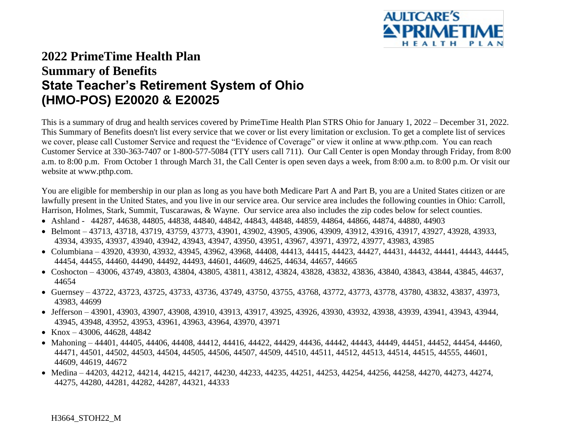

## **2022 PrimeTime Health Plan Summary of Benefits State Teacher's Retirement System of Ohio (HMO-POS) E20020 & E20025**

This is a summary of drug and health services covered by PrimeTime Health Plan STRS Ohio for January 1, 2022 – December 31, 2022. This Summary of Benefits doesn't list every service that we cover or list every limitation or exclusion. To get a complete list of services we cover, please call Customer Service and request the "Evidence of Coverage" or view it online at www.pthp.com. You can reach Customer Service at 330-363-7407 or 1-800-577-5084 (TTY users call 711). Our Call Center is open Monday through Friday, from 8:00 a.m. to 8:00 p.m. From October 1 through March 31, the Call Center is open seven days a week, from 8:00 a.m. to 8:00 p.m. Or visit our website at www.pthp.com.

You are eligible for membership in our plan as long as you have both Medicare Part A and Part B, you are a United States citizen or are lawfully present in the United States, and you live in our service area. Our service area includes the following counties in Ohio: Carroll, Harrison, Holmes, Stark, Summit, Tuscarawas, & Wayne. Our service area also includes the zip codes below for select counties.

- Ashland 44287, 44638, 44805, 44838, 44840, 44842, 44843, 44848, 44859, 44864, 44866, 44874, 44880, 44903
- Belmont 43713, 43718, 43719, 43759, 43773, 43901, 43902, 43905, 43906, 43909, 43912, 43916, 43917, 43927, 43928, 43933, 43934, 43935, 43937, 43940, 43942, 43943, 43947, 43950, 43951, 43967, 43971, 43972, 43977, 43983, 43985
- Columbiana 43920, 43930, 43932, 43945, 43962, 43968, 44408, 44413, 44415, 44423, 44427, 44431, 44432, 44441, 44443, 44445, 44454, 44455, 44460, 44490, 44492, 44493, 44601, 44609, 44625, 44634, 44657, 44665
- Coshocton 43006, 43749, 43803, 43804, 43805, 43811, 43812, 43824, 43828, 43832, 43836, 43840, 43843, 43844, 43845, 44637, 44654
- Guernsey 43722, 43723, 43725, 43733, 43736, 43749, 43750, 43755, 43768, 43772, 43773, 43778, 43780, 43832, 43837, 43973, 43983, 44699
- Jefferson 43901, 43903, 43907, 43908, 43910, 43913, 43917, 43925, 43926, 43930, 43932, 43938, 43939, 43941, 43943, 43944, 43945, 43948, 43952, 43953, 43961, 43963, 43964, 43970, 43971
- Knox 43006, 44628, 44842
- Mahoning 44401, 44405, 44406, 44408, 44412, 44416, 44422, 44429, 44436, 44442, 44443, 44449, 44451, 44452, 44454, 44460, 44471, 44501, 44502, 44503, 44504, 44505, 44506, 44507, 44509, 44510, 44511, 44512, 44513, 44514, 44515, 44555, 44601, 44609, 44619, 44672
- Medina 44203, 44212, 44214, 44215, 44217, 44230, 44233, 44235, 44251, 44253, 44254, 44256, 44258, 44270, 44273, 44274, 44275, 44280, 44281, 44282, 44287, 44321, 44333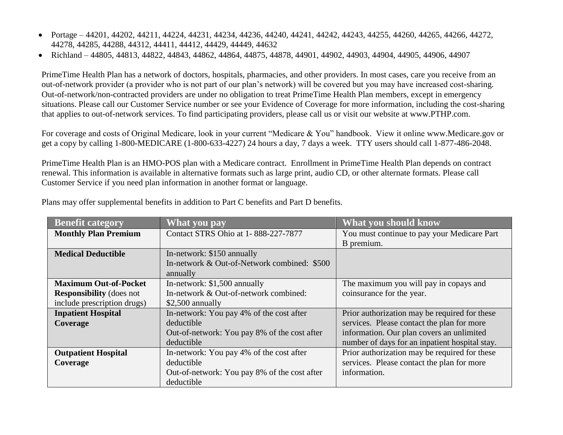- Portage 44201, 44202, 44211, 44224, 44231, 44234, 44236, 44240, 44241, 44242, 44243, 44255, 44260, 44265, 44266, 44272, 44278, 44285, 44288, 44312, 44411, 44412, 44429, 44449, 44632
- Richland 44805, 44813, 44822, 44843, 44862, 44864, 44875, 44878, 44901, 44902, 44903, 44904, 44905, 44906, 44907

PrimeTime Health Plan has a network of doctors, hospitals, pharmacies, and other providers. In most cases, care you receive from an out-of-network provider (a provider who is not part of our plan's network) will be covered but you may have increased cost-sharing. Out-of-network/non-contracted providers are under no obligation to treat PrimeTime Health Plan members, except in emergency situations. Please call our Customer Service number or see your Evidence of Coverage for more information, including the cost-sharing that applies to out-of-network services. To find participating providers, please call us or visit our website at www.PTHP.com.

For coverage and costs of Original Medicare, look in your current "Medicare & You" handbook. View it online [www.Medicare.gov](http://www.medicare.gov/) or get a copy by calling 1-800-MEDICARE (1-800-633-4227) 24 hours a day, 7 days a week. TTY users should call 1-877-486-2048.

PrimeTime Health Plan is an HMO-POS plan with a Medicare contract. Enrollment in PrimeTime Health Plan depends on contract renewal. This information is available in alternative formats such as large print, audio CD, or other alternate formats. Please call Customer Service if you need plan information in another format or language.

| <b>Benefit category</b>         | What you pay                                 | What you should know                           |
|---------------------------------|----------------------------------------------|------------------------------------------------|
| <b>Monthly Plan Premium</b>     | Contact STRS Ohio at 1-888-227-7877          | You must continue to pay your Medicare Part    |
|                                 |                                              | B premium.                                     |
| <b>Medical Deductible</b>       | In-network: \$150 annually                   |                                                |
|                                 | In-network & Out-of-Network combined: \$500  |                                                |
|                                 | annually                                     |                                                |
| <b>Maximum Out-of-Pocket</b>    | In-network: \$1,500 annually                 | The maximum you will pay in copays and         |
| <b>Responsibility</b> (does not | In-network & Out-of-network combined:        | coinsurance for the year.                      |
| include prescription drugs)     | $$2,500$ annually                            |                                                |
| <b>Inpatient Hospital</b>       | In-network: You pay 4% of the cost after     | Prior authorization may be required for these  |
| Coverage                        | deductible                                   | services. Please contact the plan for more     |
|                                 | Out-of-network: You pay 8% of the cost after | information. Our plan covers an unlimited      |
|                                 | deductible                                   | number of days for an inpatient hospital stay. |
| <b>Outpatient Hospital</b>      | In-network: You pay 4% of the cost after     | Prior authorization may be required for these  |
| Coverage                        | deductible                                   | services. Please contact the plan for more     |
|                                 | Out-of-network: You pay 8% of the cost after | information.                                   |
|                                 | deductible                                   |                                                |

Plans may offer supplemental benefits in addition to Part C benefits and Part D benefits.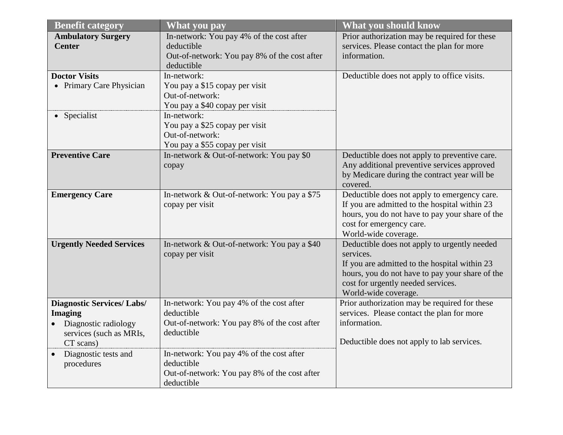| <b>Benefit category</b>                            | <b>What you pay</b>                                    | What you should know                                                                         |
|----------------------------------------------------|--------------------------------------------------------|----------------------------------------------------------------------------------------------|
| <b>Ambulatory Surgery</b><br><b>Center</b>         | In-network: You pay 4% of the cost after<br>deductible | Prior authorization may be required for these<br>services. Please contact the plan for more  |
|                                                    | Out-of-network: You pay 8% of the cost after           | information.                                                                                 |
|                                                    | deductible                                             |                                                                                              |
| <b>Doctor Visits</b>                               | In-network:                                            | Deductible does not apply to office visits.                                                  |
| • Primary Care Physician                           | You pay a \$15 copay per visit                         |                                                                                              |
|                                                    | Out-of-network:                                        |                                                                                              |
|                                                    | You pay a \$40 copay per visit                         |                                                                                              |
| • Specialist                                       | In-network:                                            |                                                                                              |
|                                                    | You pay a \$25 copay per visit                         |                                                                                              |
|                                                    | Out-of-network:                                        |                                                                                              |
| <b>Preventive Care</b>                             | You pay a \$55 copay per visit                         |                                                                                              |
|                                                    | In-network & Out-of-network: You pay \$0               | Deductible does not apply to preventive care.<br>Any additional preventive services approved |
|                                                    | copay                                                  | by Medicare during the contract year will be                                                 |
|                                                    |                                                        | covered.                                                                                     |
| <b>Emergency Care</b>                              | In-network & Out-of-network: You pay a \$75            | Deductible does not apply to emergency care.                                                 |
|                                                    | copay per visit                                        | If you are admitted to the hospital within 23                                                |
|                                                    |                                                        | hours, you do not have to pay your share of the                                              |
|                                                    |                                                        | cost for emergency care.                                                                     |
|                                                    |                                                        | World-wide coverage.                                                                         |
| <b>Urgently Needed Services</b>                    | In-network & Out-of-network: You pay a \$40            | Deductible does not apply to urgently needed                                                 |
|                                                    | copay per visit                                        | services.                                                                                    |
|                                                    |                                                        | If you are admitted to the hospital within 23                                                |
|                                                    |                                                        | hours, you do not have to pay your share of the                                              |
|                                                    |                                                        | cost for urgently needed services.                                                           |
|                                                    |                                                        | World-wide coverage.                                                                         |
| <b>Diagnostic Services/Labs/</b><br><b>Imaging</b> | In-network: You pay 4% of the cost after<br>deductible | Prior authorization may be required for these<br>services. Please contact the plan for more  |
|                                                    | Out-of-network: You pay 8% of the cost after           | information.                                                                                 |
| • Diagnostic radiology<br>services (such as MRIs,  | deductible                                             |                                                                                              |
| CT scans)                                          |                                                        | Deductible does not apply to lab services.                                                   |
| Diagnostic tests and                               | In-network: You pay 4% of the cost after               |                                                                                              |
| procedures                                         | deductible                                             |                                                                                              |
|                                                    | Out-of-network: You pay 8% of the cost after           |                                                                                              |
|                                                    | deductible                                             |                                                                                              |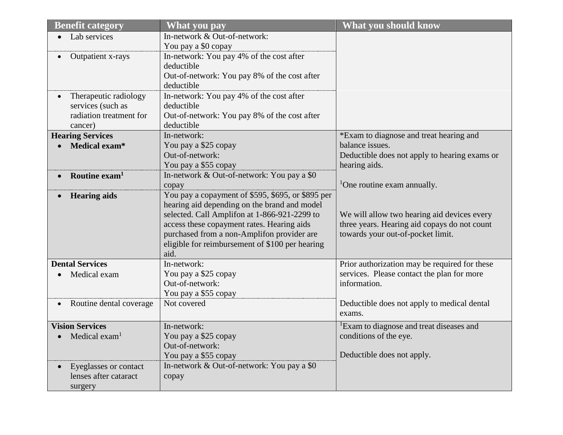| <b>Benefit category</b>   | What you pay                                               | <b>What you should know</b>                          |
|---------------------------|------------------------------------------------------------|------------------------------------------------------|
| Lab services              | In-network & Out-of-network:                               |                                                      |
|                           | You pay a \$0 copay                                        |                                                      |
| Outpatient x-rays         | In-network: You pay 4% of the cost after                   |                                                      |
|                           | deductible                                                 |                                                      |
|                           | Out-of-network: You pay 8% of the cost after               |                                                      |
|                           | deductible                                                 |                                                      |
| Therapeutic radiology     | In-network: You pay 4% of the cost after                   |                                                      |
| services (such as         | deductible                                                 |                                                      |
| radiation treatment for   | Out-of-network: You pay 8% of the cost after               |                                                      |
| cancer)                   | deductible                                                 |                                                      |
| <b>Hearing Services</b>   | In-network:                                                | *Exam to diagnose and treat hearing and              |
| Medical exam*             | You pay a \$25 copay                                       | balance issues.                                      |
|                           | Out-of-network:                                            | Deductible does not apply to hearing exams or        |
|                           | You pay a \$55 copay                                       | hearing aids.                                        |
| Routine $exam1$           | In-network & Out-of-network: You pay a \$0                 | <sup>1</sup> One routine exam annually.              |
|                           | copay<br>You pay a copayment of \$595, \$695, or \$895 per |                                                      |
| <b>Hearing aids</b>       | hearing aid depending on the brand and model               |                                                      |
|                           | selected. Call Amplifon at 1-866-921-2299 to               | We will allow two hearing aid devices every          |
|                           | access these copayment rates. Hearing aids                 | three years. Hearing aid copays do not count         |
|                           | purchased from a non-Amplifon provider are                 | towards your out-of-pocket limit.                    |
|                           | eligible for reimbursement of \$100 per hearing            |                                                      |
|                           | aid.                                                       |                                                      |
| <b>Dental Services</b>    | In-network:                                                | Prior authorization may be required for these        |
| Medical exam              | You pay a \$25 copay                                       | services. Please contact the plan for more           |
|                           | Out-of-network:                                            | information.                                         |
|                           | You pay a \$55 copay                                       |                                                      |
| Routine dental coverage   | Not covered                                                | Deductible does not apply to medical dental          |
|                           |                                                            | exams.                                               |
| <b>Vision Services</b>    | In-network:                                                | <sup>1</sup> Exam to diagnose and treat diseases and |
| Medical exam <sup>1</sup> | You pay a \$25 copay                                       | conditions of the eye.                               |
|                           | Out-of-network:                                            |                                                      |
|                           | You pay a \$55 copay                                       | Deductible does not apply.                           |
| Eyeglasses or contact     | In-network & Out-of-network: You pay a \$0                 |                                                      |
| lenses after cataract     | copay                                                      |                                                      |
| surgery                   |                                                            |                                                      |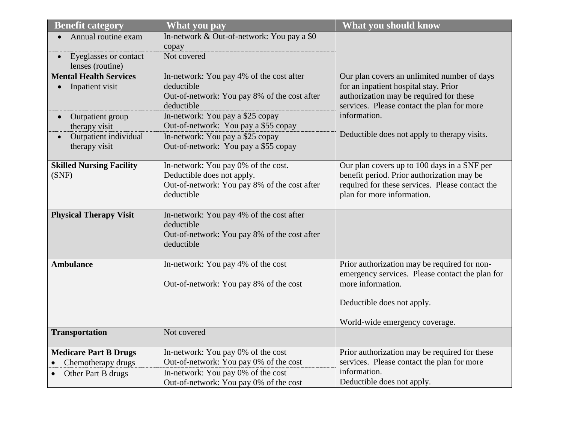| <b>Benefit category</b>            | <b>What you pay</b>                                    | <b>What you should know</b>                                                      |
|------------------------------------|--------------------------------------------------------|----------------------------------------------------------------------------------|
| Annual routine exam                | In-network & Out-of-network: You pay a \$0             |                                                                                  |
|                                    | copay                                                  |                                                                                  |
| Eyeglasses or contact<br>$\bullet$ | Not covered                                            |                                                                                  |
| lenses (routine)                   |                                                        |                                                                                  |
| <b>Mental Health Services</b>      | In-network: You pay 4% of the cost after<br>deductible | Our plan covers an unlimited number of days                                      |
| Inpatient visit                    | Out-of-network: You pay 8% of the cost after           | for an inpatient hospital stay. Prior<br>authorization may be required for these |
|                                    | deductible                                             | services. Please contact the plan for more                                       |
| Outpatient group                   | In-network: You pay a \$25 copay                       | information.                                                                     |
| therapy visit                      | Out-of-network: You pay a \$55 copay                   |                                                                                  |
| Outpatient individual              | In-network: You pay a \$25 copay                       | Deductible does not apply to therapy visits.                                     |
| therapy visit                      | Out-of-network: You pay a \$55 copay                   |                                                                                  |
|                                    |                                                        |                                                                                  |
| <b>Skilled Nursing Facility</b>    | In-network: You pay 0% of the cost.                    | Our plan covers up to 100 days in a SNF per                                      |
| (SNF)                              | Deductible does not apply.                             | benefit period. Prior authorization may be                                       |
|                                    | Out-of-network: You pay 8% of the cost after           | required for these services. Please contact the                                  |
|                                    | deductible                                             | plan for more information.                                                       |
| <b>Physical Therapy Visit</b>      | In-network: You pay 4% of the cost after               |                                                                                  |
|                                    | deductible                                             |                                                                                  |
|                                    | Out-of-network: You pay 8% of the cost after           |                                                                                  |
|                                    | deductible                                             |                                                                                  |
| <b>Ambulance</b>                   | In-network: You pay 4% of the cost                     | Prior authorization may be required for non-                                     |
|                                    |                                                        | emergency services. Please contact the plan for                                  |
|                                    | Out-of-network: You pay 8% of the cost                 | more information.                                                                |
|                                    |                                                        |                                                                                  |
|                                    |                                                        | Deductible does not apply.                                                       |
|                                    |                                                        | World-wide emergency coverage.                                                   |
| <b>Transportation</b>              | Not covered                                            |                                                                                  |
| <b>Medicare Part B Drugs</b>       | In-network: You pay 0% of the cost                     | Prior authorization may be required for these                                    |
| Chemotherapy drugs                 | Out-of-network: You pay 0% of the cost                 | services. Please contact the plan for more                                       |
| Other Part B drugs                 | In-network: You pay 0% of the cost                     | information.                                                                     |
|                                    | Out-of-network: You pay 0% of the cost                 | Deductible does not apply.                                                       |